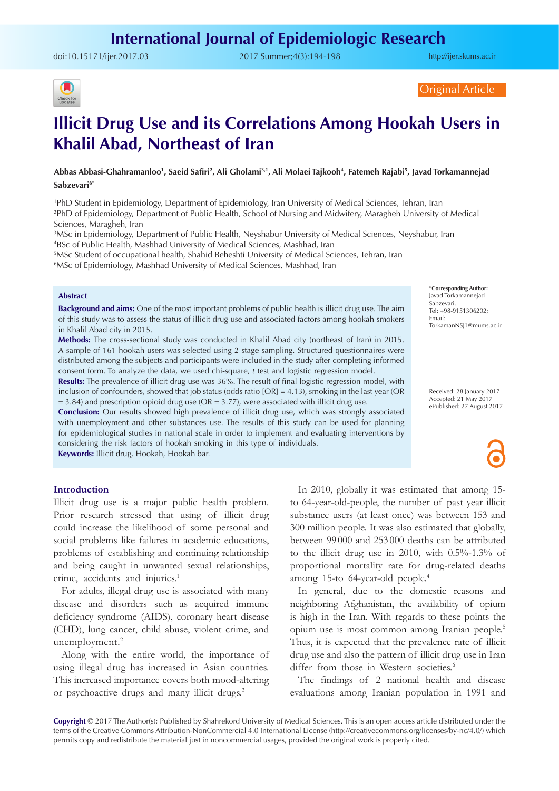doi:[10.15171/ijer.2017.03](http://dx.doi.org/10.15171/ijer.2017.03 ) 2017 Summer;4(3):194-198

<http://ijer.skums.ac.ir>



Original Article

# **Illicit Drug Use and its Correlations Among Hookah Users in Khalil Abad, Northeast of Iran**

Abbas Abbasi-Ghahramanloo<sup>1</sup>, Saeid Safiri<sup>2</sup>, Ali Gholami<sup>3,1</sup>, Ali Molaei Tajkooh<sup>4</sup>, Fatemeh Rajabi<sup>5</sup>, Javad Torkamannejad Sabzevari<sup>6\*</sup>

1 PhD Student in Epidemiology, Department of Epidemiology, Iran University of Medical Sciences, Tehran, Iran 2 PhD of Epidemiology, Department of Public Health, School of Nursing and Midwifery, Maragheh University of Medical Sciences, Maragheh, Iran

3 MSc in Epidemiology, Department of Public Health, Neyshabur University of Medical Sciences, Neyshabur, Iran 4 BSc of Public Health, Mashhad University of Medical Sciences, Mashhad, Iran

5 MSc Student of occupational health, Shahid Beheshti University of Medical Sciences, Tehran, Iran

6 MSc of Epidemiology, Mashhad University of Medical Sciences, Mashhad, Iran

#### **Abstract**

**Background and aims:** One of the most important problems of public health is illicit drug use. The aim of this study was to assess the status of illicit drug use and associated factors among hookah smokers in Khalil Abad city in 2015.

**Methods:** The cross-sectional study was conducted in Khalil Abad city (northeast of Iran) in 2015. A sample of 161 hookah users was selected using 2-stage sampling. Structured questionnaires were distributed among the subjects and participants were included in the study after completing informed consent form. To analyze the data, we used chi-square, *t* test and logistic regression model.

**Results:** The prevalence of illicit drug use was 36%. The result of final logistic regression model, with inclusion of confounders, showed that job status (odds ratio  $[OR] = 4.13$ ), smoking in the last year (OR  $= 3.84$ ) and prescription opioid drug use (OR = 3.77), were associated with illicit drug use.

**Conclusion:** Our results showed high prevalence of illicit drug use, which was strongly associated with unemployment and other substances use. The results of this study can be used for planning for epidemiological studies in national scale in order to implement and evaluating interventions by considering the risk factors of hookah smoking in this type of individuals. **Keywords:** Illicit drug, Hookah, Hookah bar.

**Introduction**

Illicit drug use is a major public health problem. Prior research stressed that using of illicit drug could increase the likelihood of some personal and social problems like failures in academic educations, problems of establishing and continuing relationship and being caught in unwanted sexual relationships, crime, accidents and injuries.<sup>1</sup>

For adults, illegal drug use is associated with many disease and disorders such as acquired immune deficiency syndrome (AIDS), coronary heart disease (CHD), lung cancer, child abuse, violent crime, and unemployment.<sup>2</sup>

Along with the entire world, the importance of using illegal drug has increased in Asian countries. This increased importance covers both mood-altering or psychoactive drugs and many illicit drugs.<sup>3</sup>

In 2010, globally it was estimated that among 15 to 64-year-old-people, the number of past year illicit substance users (at least once) was between 153 and 300 million people. It was also estimated that globally, between 99 000 and 253 000 deaths can be attributed to the illicit drug use in 2010, with 0.5%-1.3% of proportional mortality rate for drug-related deaths among 15-to 64-year-old people.4

In general, due to the domestic reasons and neighboring Afghanistan, the availability of opium is high in the Iran. With regards to these points the opium use is most common among Iranian people.5 Thus, it is expected that the prevalence rate of illicit drug use and also the pattern of illicit drug use in Iran differ from those in Western societies.<sup>6</sup>

The findings of 2 national health and disease evaluations among Iranian population in 1991 and

**Copyright** © 2017 The Author(s); Published by Shahrekord University of Medical Sciences. This is an open access article distributed under the terms of the Creative Commons Attribution-NonCommercial 4.0 International License (<http://creativecommons.org/licenses/by-nc/4.0/>) which permits copy and redistribute the material just in noncommercial usages, provided the original work is properly cited.

\***Corresponding Author:** Javad Torkamannejad Sabzevari, Tel: +98-9151306202; Email: TorkamanNSJ1@mums.ac.ir

Received: 28 January 2017 Accepted: 21 May 2017 ePublished: 27 August 2017

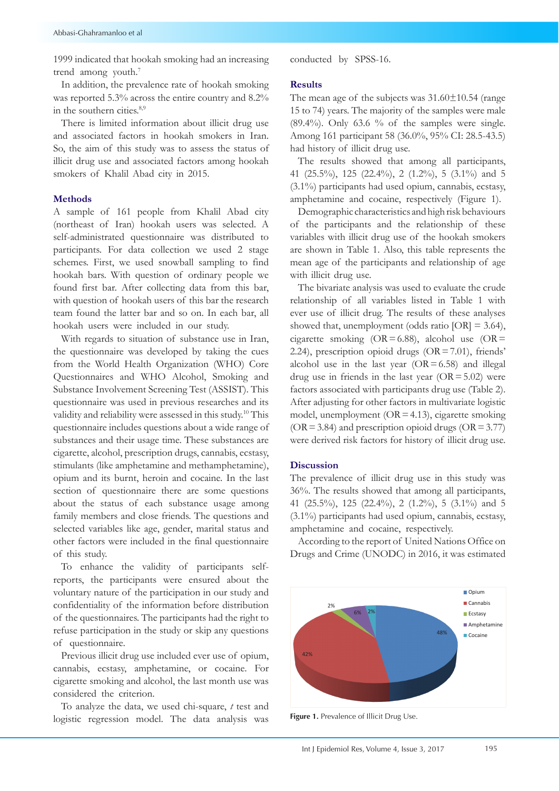1999 indicated that hookah smoking had an increasing trend among youth.<sup>7</sup>

In addition, the prevalence rate of hookah smoking was reported 5.3% across the entire country and 8.2% in the southern cities.<sup>8,9</sup>

There is limited information about illicit drug use and associated factors in hookah smokers in Iran. So, the aim of this study was to assess the status of illicit drug use and associated factors among hookah smokers of Khalil Abad city in 2015.

### **Methods**

A sample of 161 people from Khalil Abad city (northeast of Iran) hookah users was selected. A self-administrated questionnaire was distributed to participants. For data collection we used 2 stage schemes. First, we used snowball sampling to find hookah bars. With question of ordinary people we found first bar. After collecting data from this bar, with question of hookah users of this bar the research team found the latter bar and so on. In each bar, all hookah users were included in our study.

With regards to situation of substance use in Iran, the questionnaire was developed by taking the cues from the World Health Organization (WHO) Core Questionnaires and WHO Alcohol, Smoking and Substance Involvement Screening Test (ASSIST). This questionnaire was used in previous researches and its validity and reliability were assessed in this study.10 This questionnaire includes questions about a wide range of substances and their usage time. These substances are cigarette, alcohol, prescription drugs, cannabis, ecstasy, stimulants (like amphetamine and methamphetamine), opium and its burnt, heroin and cocaine. In the last section of questionnaire there are some questions about the status of each substance usage among family members and close friends. The questions and selected variables like age, gender, marital status and other factors were included in the final questionnaire of this study.

To enhance the validity of participants selfreports, the participants were ensured about the voluntary nature of the participation in our study and confidentiality of the information before distribution of the questionnaires. The participants had the right to refuse participation in the study or skip any questions of questionnaire.

Previous illicit drug use included ever use of opium, cannabis, ecstasy, amphetamine, or cocaine. For cigarette smoking and alcohol, the last month use was considered the criterion.

To analyze the data, we used chi-square, *t* test and logistic regression model. The data analysis was conducted by SPSS-16.

#### **Results**

The mean age of the subjects was  $31.60 \pm 10.54$  (range 15 to 74) years. The majority of the samples were male  $(89.4\%)$ . Only 63.6 % of the samples were single. Among 161 participant 58 (36.0%, 95% CI: 28.5-43.5) had history of illicit drug use.

The results showed that among all participants, 41 (25.5%), 125 (22.4%), 2 (1.2%), 5 (3.1%) and 5 (3.1%) participants had used opium, cannabis, ecstasy, amphetamine and cocaine, respectively (Figure 1).

Demographic characteristics and high risk behaviours of the participants and the relationship of these variables with illicit drug use of the hookah smokers are shown in Table 1. Also, this table represents the mean age of the participants and relationship of age with illicit drug use.

The bivariate analysis was used to evaluate the crude relationship of all variables listed in Table 1 with ever use of illicit drug. The results of these analyses showed that, unemployment (odds ratio  $[OR] = 3.64$ ), cigarette smoking (OR=6.88), alcohol use (OR= 2.24), prescription opioid drugs (OR=7.01), friends' alcohol use in the last year  $(OR = 6.58)$  and illegal drug use in friends in the last year  $(OR = 5.02)$  were factors associated with participants drug use (Table 2). After adjusting for other factors in multivariate logistic model, unemployment ( $OR = 4.13$ ), cigarette smoking  $(OR = 3.84)$  and prescription opioid drugs  $(OR = 3.77)$ were derived risk factors for history of illicit drug use.

### **Discussion**

The prevalence of illicit drug use in this study was 36%. The results showed that among all participants, 41 (25.5%), 125 (22.4%), 2 (1.2%), 5 (3.1%) and 5 (3.1%) participants had used opium, cannabis, ecstasy, amphetamine and cocaine, respectively.

According to the report of United Nations Office on Drugs and Crime (UNODC) in 2016, it was estimated



Figure 1. Prevalence of Illicit Drug Use.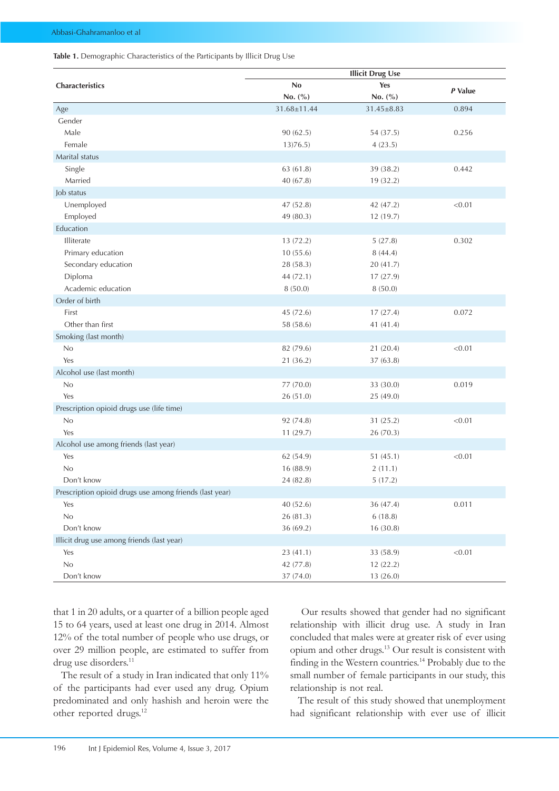#### Table 1. Demographic Characteristics of the Participants by Illicit Drug Use

|                                                         | <b>Illicit Drug Use</b> |                  |         |  |  |
|---------------------------------------------------------|-------------------------|------------------|---------|--|--|
| Characteristics                                         | No                      | Yes              | P Value |  |  |
|                                                         | No. (%)                 | No. (%)          |         |  |  |
| Age                                                     | 31.68±11.44             | $31.45 \pm 8.83$ | 0.894   |  |  |
| Gender                                                  |                         |                  |         |  |  |
| Male                                                    | 90 (62.5)               | 54 (37.5)        | 0.256   |  |  |
| Female                                                  | 13(76.5)                | 4(23.5)          |         |  |  |
| Marital status                                          |                         |                  |         |  |  |
| Single                                                  | 63 (61.8)               | 39 (38.2)        | 0.442   |  |  |
| Married                                                 | 40 (67.8)               | 19 (32.2)        |         |  |  |
| Job status                                              |                         |                  |         |  |  |
| Unemployed                                              | 47 (52.8)               | 42 (47.2)        | < 0.01  |  |  |
| Employed                                                | 49 (80.3)               | 12 (19.7)        |         |  |  |
| Education                                               |                         |                  |         |  |  |
| Illiterate                                              | 13 (72.2)               | 5(27.8)          | 0.302   |  |  |
| Primary education                                       | 10(55.6)                | 8(44.4)          |         |  |  |
| Secondary education                                     | 28 (58.3)               | 20 (41.7)        |         |  |  |
| Diploma                                                 | 44 (72.1)               | 17(27.9)         |         |  |  |
| Academic education                                      | 8(50.0)                 | 8(50.0)          |         |  |  |
| Order of birth                                          |                         |                  |         |  |  |
| First                                                   | 45 (72.6)               | 17(27.4)         | 0.072   |  |  |
| Other than first                                        | 58 (58.6)               | 41 (41.4)        |         |  |  |
| Smoking (last month)                                    |                         |                  |         |  |  |
| No                                                      | 82 (79.6)               | 21 (20.4)        | < 0.01  |  |  |
| Yes                                                     | 21 (36.2)               | 37 (63.8)        |         |  |  |
| Alcohol use (last month)                                |                         |                  |         |  |  |
| No                                                      | 77 (70.0)               | 33 (30.0)        | 0.019   |  |  |
| Yes                                                     | 26 (51.0)               | 25 (49.0)        |         |  |  |
| Prescription opioid drugs use (life time)               |                         |                  |         |  |  |
| No                                                      | 92 (74.8)               | 31 (25.2)        | < 0.01  |  |  |
| Yes                                                     | 11(29.7)                | 26 (70.3)        |         |  |  |
| Alcohol use among friends (last year)                   |                         |                  |         |  |  |
| Yes                                                     | 62 (54.9)               | 51(45.1)         | < 0.01  |  |  |
| No                                                      | 16 (88.9)               | 2(11.1)          |         |  |  |
| Don't know                                              | 24 (82.8)               | 5(17.2)          |         |  |  |
| Prescription opioid drugs use among friends (last year) |                         |                  |         |  |  |
| Yes                                                     | 40 (52.6)               | 36 (47.4)        | 0.011   |  |  |
| $\rm No$                                                | 26 (81.3)               | 6(18.8)          |         |  |  |
| Don't know                                              | 36 (69.2)               | 16 (30.8)        |         |  |  |
| Illicit drug use among friends (last year)              |                         |                  |         |  |  |
| Yes                                                     | 23 (41.1)               | 33 (58.9)        | < 0.01  |  |  |
| No                                                      | 42 (77.8)               | 12 (22.2)        |         |  |  |
| Don't know                                              | 37 (74.0)               | 13 (26.0)        |         |  |  |

that 1 in 20 adults, or a quarter of a billion people aged 15 to 64 years, used at least one drug in 2014. Almost 12% of the total number of people who use drugs, or over 29 million people, are estimated to suffer from drug use disorders.<sup>11</sup>

The result of a study in Iran indicated that only 11% of the participants had ever used any drug. Opium predominated and only hashish and heroin were the other reported drugs.<sup>12</sup>

 Our results showed that gender had no significant relationship with illicit drug use. A study in Iran concluded that males were at greater risk of ever using opium and other drugs.13 Our result is consistent with finding in the Western countries.<sup>14</sup> Probably due to the small number of female participants in our study, this relationship is not real.

The result of this study showed that unemployment had significant relationship with ever use of illicit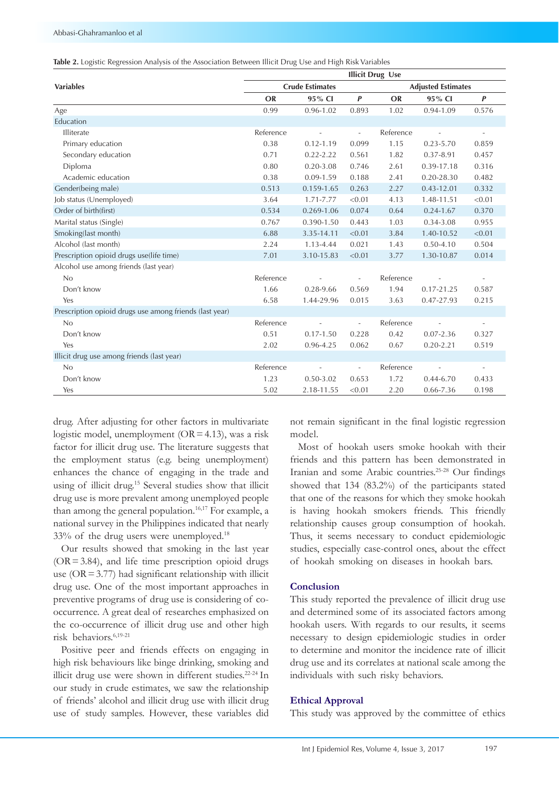|  |  |  | Table 2. Logistic Regression Analysis of the Association Between Illicit Drug Use and High Risk Variables |
|--|--|--|-----------------------------------------------------------------------------------------------------------|
|--|--|--|-----------------------------------------------------------------------------------------------------------|

|                                                         | <b>Illicit Drug Use</b> |               |                          |                           |                |                          |
|---------------------------------------------------------|-------------------------|---------------|--------------------------|---------------------------|----------------|--------------------------|
| <b>Variables</b>                                        | <b>Crude Estimates</b>  |               |                          | <b>Adjusted Estimates</b> |                |                          |
|                                                         | <b>OR</b>               | 95% CI        | $\boldsymbol{P}$         | <b>OR</b>                 | 95% CI         | $\boldsymbol{P}$         |
| Age                                                     | 0.99                    | $0.96 - 1.02$ | 0.893                    | 1.02                      | $0.94 - 1.09$  | 0.576                    |
| Education                                               |                         |               |                          |                           |                |                          |
| Illiterate                                              | Reference               |               | $\frac{1}{2}$            | Reference                 |                | $\bar{\phantom{a}}$      |
| Primary education                                       | 0.38                    | $0.12 - 1.19$ | 0.099                    | 1.15                      | $0.23 - 5.70$  | 0.859                    |
| Secondary education                                     | 0.71                    | $0.22 - 2.22$ | 0.561                    | 1.82                      | 0.37-8.91      | 0.457                    |
| Diploma                                                 | 0.80                    | $0.20 - 3.08$ | 0.746                    | 2.61                      | 0.39-17.18     | 0.316                    |
| Academic education                                      | 0.38                    | $0.09 - 1.59$ | 0.188                    | 2.41                      | $0.20 - 28.30$ | 0.482                    |
| Gender(being male)                                      | 0.513                   | 0.159-1.65    | 0.263                    | 2.27                      | $0.43 - 12.01$ | 0.332                    |
| Job status (Unemployed)                                 | 3.64                    | 1.71-7.77     | < 0.01                   | 4.13                      | 1.48-11.51     | < 0.01                   |
| Order of birth(first)                                   | 0.534                   | 0.269-1.06    | 0.074                    | 0.64                      | $0.24 - 1.67$  | 0.370                    |
| Marital status (Single)                                 | 0.767                   | 0.390-1.50    | 0.443                    | 1.03                      | 0.34-3.08      | 0.955                    |
| Smoking(last month)                                     | 6.88                    | 3.35-14.11    | < 0.01                   | 3.84                      | 1.40-10.52     | < 0.01                   |
| Alcohol (last month)                                    | 2.24                    | 1.13-4.44     | 0.021                    | 1.43                      | $0.50 - 4.10$  | 0.504                    |
| Prescription opioid drugs use(life time)                | 7.01                    | 3.10-15.83    | < 0.01                   | 3.77                      | 1.30-10.87     | 0.014                    |
| Alcohol use among friends (last year)                   |                         |               |                          |                           |                |                          |
| No                                                      | Reference               |               |                          | Reference                 |                |                          |
| Don't know                                              | 1.66                    | 0.28-9.66     | 0.569                    | 1.94                      | 0.17-21.25     | 0.587                    |
| Yes                                                     | 6.58                    | 1.44-29.96    | 0.015                    | 3.63                      | 0.47-27.93     | 0.215                    |
| Prescription opioid drugs use among friends (last year) |                         |               |                          |                           |                |                          |
| No                                                      | Reference               |               | L,                       | Reference                 |                | $\overline{\phantom{a}}$ |
| Don't know                                              | 0.51                    | $0.17 - 1.50$ | 0.228                    | 0.42                      | $0.07 - 2.36$  | 0.327                    |
| Yes                                                     | 2.02                    | 0.96-4.25     | 0.062                    | 0.67                      | $0.20 - 2.21$  | 0.519                    |
| Illicit drug use among friends (last year)              |                         |               |                          |                           |                |                          |
| No                                                      | Reference               |               | $\overline{\phantom{a}}$ | Reference                 |                | $\overline{\phantom{a}}$ |
| Don't know                                              | 1.23                    | $0.50 - 3.02$ | 0.653                    | 1.72                      | $0.44 - 6.70$  | 0.433                    |
| Yes                                                     | 5.02                    | 2.18-11.55    | < 0.01                   | 2.20                      | 0.66-7.36      | 0.198                    |

drug. After adjusting for other factors in multivariate logistic model, unemployment  $(OR = 4.13)$ , was a risk factor for illicit drug use. The literature suggests that the employment status (e.g. being unemployment) enhances the chance of engaging in the trade and using of illicit drug.15 Several studies show that illicit drug use is more prevalent among unemployed people than among the general population.16,17 For example, a national survey in the Philippines indicated that nearly 33% of the drug users were unemployed.18

Our results showed that smoking in the last year  $(OR = 3.84)$ , and life time prescription opioid drugs use  $(OR = 3.77)$  had significant relationship with illicit drug use. One of the most important approaches in preventive programs of drug use is considering of cooccurrence. A great deal of researches emphasized on the co-occurrence of illicit drug use and other high risk behaviors.6,19-21

Positive peer and friends effects on engaging in high risk behaviours like binge drinking, smoking and illicit drug use were shown in different studies.22-24 In our study in crude estimates, we saw the relationship of friends' alcohol and illicit drug use with illicit drug use of study samples. However, these variables did

not remain significant in the final logistic regression model.

Most of hookah users smoke hookah with their friends and this pattern has been demonstrated in Iranian and some Arabic countries.25-28 Our findings showed that 134 (83.2%) of the participants stated that one of the reasons for which they smoke hookah is having hookah smokers friends. This friendly relationship causes group consumption of hookah. Thus, it seems necessary to conduct epidemiologic studies, especially case-control ones, about the effect of hookah smoking on diseases in hookah bars.

## **Conclusion**

This study reported the prevalence of illicit drug use and determined some of its associated factors among hookah users. With regards to our results, it seems necessary to design epidemiologic studies in order to determine and monitor the incidence rate of illicit drug use and its correlates at national scale among the individuals with such risky behaviors.

#### **Ethical Approval**

This study was approved by the committee of ethics